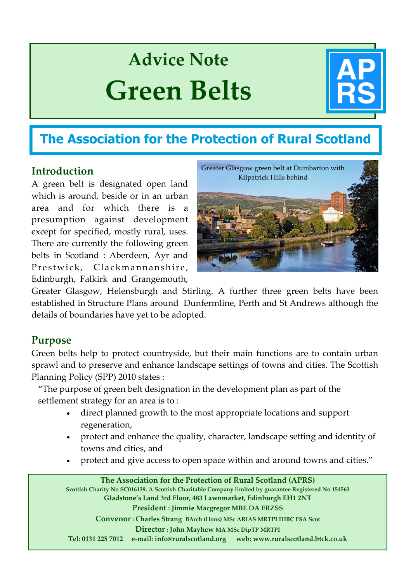# **Advice Note Green Belts**



# **The Association for the Protection of Rural Scotland**

# **Introduction**

A green belt is designated open land which is around, beside or in an urban area and for which there is a presumption against development except for specified, mostly rural, uses. There are currently the following green belts in Scotland : Aberdeen, Ayr and Prestwick, Clackmannanshire, Edinburgh, Falkirk and Grangemouth,



Greater Glasgow, Helensburgh and Stirling. A further three green belts have been established in Structure Plans around Dunfermline, Perth and St Andrews although the details of boundaries have yet to be adopted.

# **Purpose**

Green belts help to protect countryside, but their main functions are to contain urban sprawl and to preserve and enhance landscape settings of towns and cities. The Scottish Planning Policy (SPP) 2010 states :

"The purpose of green belt designation in the development plan as part of the settlement strategy for an area is to :

- direct planned growth to the most appropriate locations and support regeneration,
- protect and enhance the quality, character, landscape setting and identity of towns and cities, and
- protect and give access to open space within and around towns and cities."

 **Convenor : Charles Strang BArch (Hons) MSc ARIAS MRTPI IHBC FSA Scot The Association for the Protection of Rural Scotland (APRS) Scottish Charity No SC016139. A Scottish Charitable Company limited by guarantee Registered No 154563 Gladstone's Land 3rd Floor, 483 Lawnmarket, Edinburgh EH1 2NT President : Jimmie Macgregor MBE DA FRZSS Director : John Mayhew MA MSc DipTP MRTPI Tel: 0131 225 7012 e‐mail: info@ruralscotland.org web: www.ruralscotland.btck.co.uk**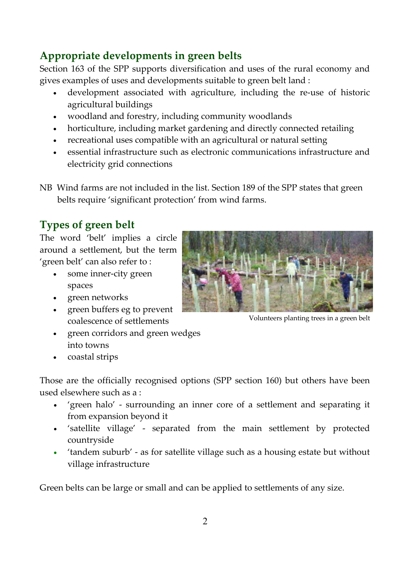# **Appropriate developments in green belts**

Section 163 of the SPP supports diversification and uses of the rural economy and gives examples of uses and developments suitable to green belt land :

- development associated with agriculture, including the re‐use of historic agricultural buildings
- woodland and forestry, including community woodlands
- horticulture, including market gardening and directly connected retailing
- recreational uses compatible with an agricultural or natural setting
- essential infrastructure such as electronic communications infrastructure and electricity grid connections

NB Wind farms are not included in the list. Section 189 of the SPP states that green belts require 'significant protection' from wind farms.

# **Types of green belt**

The word 'belt' implies a circle around a settlement, but the term 'green belt' can also refer to :

- some inner‐city green spaces
- green networks
- green buffers eg to prevent coalescence of settlements
- green corridors and green wedges into towns
- coastal strips

Those are the officially recognised options (SPP section 160) but others have been used elsewhere such as a :

- 'green halo' ‐ surrounding an inner core of a settlement and separating it from expansion beyond it
- 'satellite village' ‐ separated from the main settlement by protected countryside
- 'tandem suburb' as for satellite village such as a housing estate but without village infrastructure

Green belts can be large or small and can be applied to settlements of any size.



Volunteers planting trees in a green belt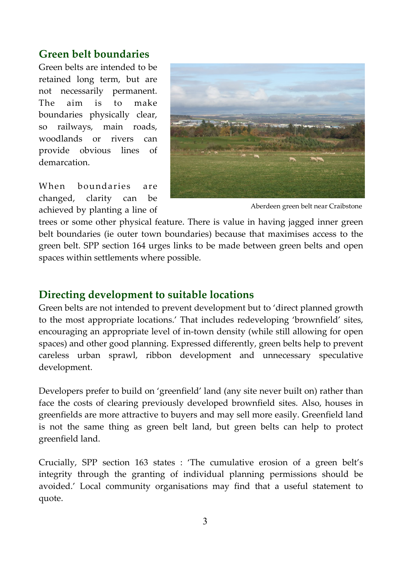### **Green belt boundaries**

Green belts are intended to be retained long term, but are not necessarily permanent. The aim is to make boundaries physically clear, so railways, main roads, woodlands or rivers can provide obvious lines of demarcation.

When boundaries are changed, clarity can be achieved by planting a line of



Aberdeen green belt near Craibstone

trees or some other physical feature. There is value in having jagged inner green belt boundaries (ie outer town boundaries) because that maximises access to the green belt. SPP section 164 urges links to be made between green belts and open spaces within settlements where possible.

#### **Directing development to suitable locations**

Green belts are not intended to prevent development but to 'direct planned growth to the most appropriate locations.' That includes redeveloping 'brownfield' sites, encouraging an appropriate level of in‐town density (while still allowing for open spaces) and other good planning. Expressed differently, green belts help to prevent careless urban sprawl, ribbon development and unnecessary speculative development.

Developers prefer to build on 'greenfield' land (any site never built on) rather than face the costs of clearing previously developed brownfield sites. Also, houses in greenfields are more attractive to buyers and may sell more easily. Greenfield land is not the same thing as green belt land, but green belts can help to protect greenfield land.

Crucially, SPP section 163 states : 'The cumulative erosion of a green belt's integrity through the granting of individual planning permissions should be avoided.' Local community organisations may find that a useful statement to quote.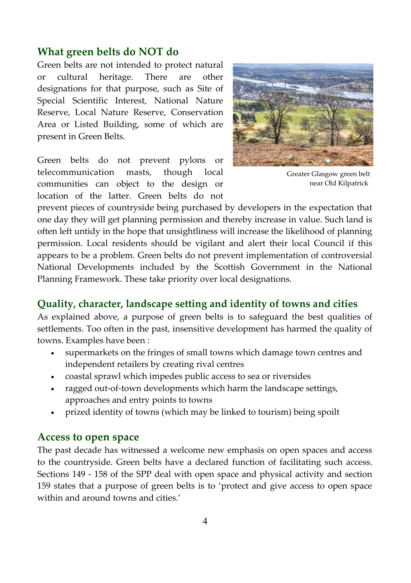### **What green belts do NOT do**

Green belts are not intended to protect natural or cultural heritage. There are other designations for that purpose, such as Site of Special Scientific Interest, National Nature Reserve, Local Nature Reserve, Conservation Area or Listed Building, some of which are present in Green Belts.

Green belts do not prevent pylons or telecommunication masts, though local communities can object to the design or location of the latter. Green belts do not



Greater Glasgow green belt near Old Kilpatrick

prevent pieces of countryside being purchased by developers in the expectation that one day they will get planning permission and thereby increase in value. Such land is often left untidy in the hope that unsightliness will increase the likelihood of planning permission. Local residents should be vigilant and alert their local Council if this appears to be a problem. Green belts do not prevent implementation of controversial National Developments included by the Scottish Government in the National Planning Framework. These take priority over local designations.

#### **Quality, character, landscape setting and identity of towns and cities**

As explained above, a purpose of green belts is to safeguard the best qualities of settlements. Too often in the past, insensitive development has harmed the quality of towns. Examples have been :

- supermarkets on the fringes of small towns which damage town centres and independent retailers by creating rival centres
- coastal sprawl which impedes public access to sea or riversides
- ragged out-of-town developments which harm the landscape settings, approaches and entry points to towns
- prized identity of towns (which may be linked to tourism) being spoilt

#### **Access to open space**

The past decade has witnessed a welcome new emphasis on open spaces and access to the countryside. Green belts have a declared function of facilitating such access. Sections 149 - 158 of the SPP deal with open space and physical activity and section 159 states that a purpose of green belts is to 'protect and give access to open space within and around towns and cities.'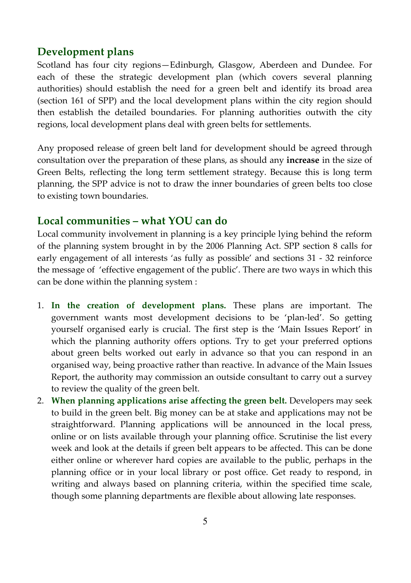### **Development plans**

Scotland has four city regions—Edinburgh, Glasgow, Aberdeen and Dundee. For each of these the strategic development plan (which covers several planning authorities) should establish the need for a green belt and identify its broad area (section 161 of SPP) and the local development plans within the city region should then establish the detailed boundaries. For planning authorities outwith the city regions, local development plans deal with green belts for settlements.

Any proposed release of green belt land for development should be agreed through consultation over the preparation of these plans, as should any **increase** in the size of Green Belts, reflecting the long term settlement strategy. Because this is long term planning, the SPP advice is not to draw the inner boundaries of green belts too close to existing town boundaries.

#### **Local communities – what YOU can do**

Local community involvement in planning is a key principle lying behind the reform of the planning system brought in by the 2006 Planning Act. SPP section 8 calls for early engagement of all interests 'as fully as possible' and sections 31 - 32 reinforce the message of 'effective engagement of the public'. There are two ways in which this can be done within the planning system :

- 1. **In the creation of development plans.** These plans are important. The government wants most development decisions to be 'plan‐led'. So getting yourself organised early is crucial. The first step is the 'Main Issues Report' in which the planning authority offers options. Try to get your preferred options about green belts worked out early in advance so that you can respond in an organised way, being proactive rather than reactive. In advance of the Main Issues Report, the authority may commission an outside consultant to carry out a survey to review the quality of the green belt.
- 2. **When planning applications arise affecting the green belt.** Developers may seek to build in the green belt. Big money can be at stake and applications may not be straightforward. Planning applications will be announced in the local press, online or on lists available through your planning office. Scrutinise the list every week and look at the details if green belt appears to be affected. This can be done either online or wherever hard copies are available to the public, perhaps in the planning office or in your local library or post office. Get ready to respond, in writing and always based on planning criteria, within the specified time scale, though some planning departments are flexible about allowing late responses.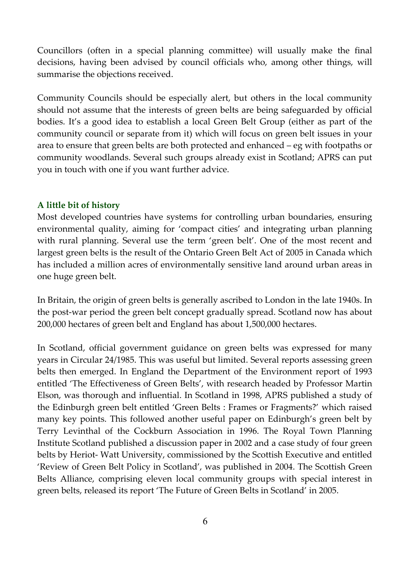Councillors (often in a special planning committee) will usually make the final decisions, having been advised by council officials who, among other things, will summarise the objections received.

Community Councils should be especially alert, but others in the local community should not assume that the interests of green belts are being safeguarded by official bodies. It's a good idea to establish a local Green Belt Group (either as part of the community council or separate from it) which will focus on green belt issues in your area to ensure that green belts are both protected and enhanced – eg with footpaths or community woodlands. Several such groups already exist in Scotland; APRS can put you in touch with one if you want further advice.

#### **A little bit of history**

Most developed countries have systems for controlling urban boundaries, ensuring environmental quality, aiming for 'compact cities' and integrating urban planning with rural planning. Several use the term 'green belt'. One of the most recent and largest green belts is the result of the Ontario Green Belt Act of 2005 in Canada which has included a million acres of environmentally sensitive land around urban areas in one huge green belt.

In Britain, the origin of green belts is generally ascribed to London in the late 1940s. In the post‐war period the green belt concept gradually spread. Scotland now has about 200,000 hectares of green belt and England has about 1,500,000 hectares.

In Scotland, official government guidance on green belts was expressed for many years in Circular 24/1985. This was useful but limited. Several reports assessing green belts then emerged. In England the Department of the Environment report of 1993 entitled 'The Effectiveness of Green Belts', with research headed by Professor Martin Elson, was thorough and influential. In Scotland in 1998, APRS published a study of the Edinburgh green belt entitled 'Green Belts : Frames or Fragments?' which raised many key points. This followed another useful paper on Edinburgh's green belt by Terry Levinthal of the Cockburn Association in 1996. The Royal Town Planning Institute Scotland published a discussion paper in 2002 and a case study of four green belts by Heriot‐ Watt University, commissioned by the Scottish Executive and entitled 'Review of Green Belt Policy in Scotland', was published in 2004. The Scottish Green Belts Alliance, comprising eleven local community groups with special interest in green belts, released its report 'The Future of Green Belts in Scotland' in 2005.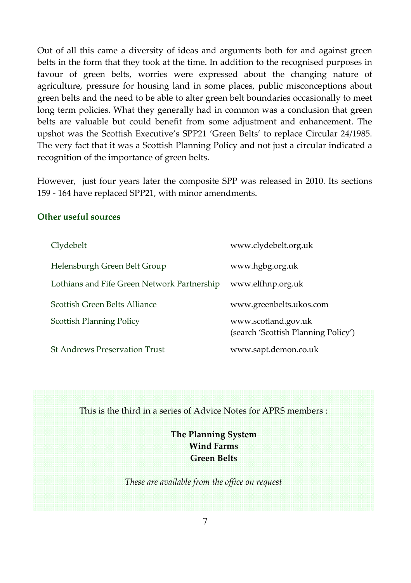Out of all this came a diversity of ideas and arguments both for and against green belts in the form that they took at the time. In addition to the recognised purposes in favour of green belts, worries were expressed about the changing nature of agriculture, pressure for housing land in some places, public misconceptions about green belts and the need to be able to alter green belt boundaries occasionally to meet long term policies. What they generally had in common was a conclusion that green belts are valuable but could benefit from some adjustment and enhancement. The upshot was the Scottish Executive's SPP21 'Green Belts' to replace Circular 24/1985. The very fact that it was a Scottish Planning Policy and not just a circular indicated a recognition of the importance of green belts.

However, just four years later the composite SPP was released in 2010. Its sections 159 ‐ 164 have replaced SPP21, with minor amendments.

#### **Other useful sources**

| Clydebelt                                   | www.clydebelt.org.uk                                       |
|---------------------------------------------|------------------------------------------------------------|
| Helensburgh Green Belt Group                | www.hgbg.org.uk                                            |
| Lothians and Fife Green Network Partnership | www.elfhnp.org.uk                                          |
| Scottish Green Belts Alliance               | www.greenbelts.ukos.com                                    |
| <b>Scottish Planning Policy</b>             | www.scotland.gov.uk<br>(search 'Scottish Planning Policy') |
| <b>St Andrews Preservation Trust</b>        | www.sapt.demon.co.uk                                       |

This is the third in a series of Advice Notes for APRS members :

**The Planning System Wind Farms Green Belts**

*These are available from the office on request*